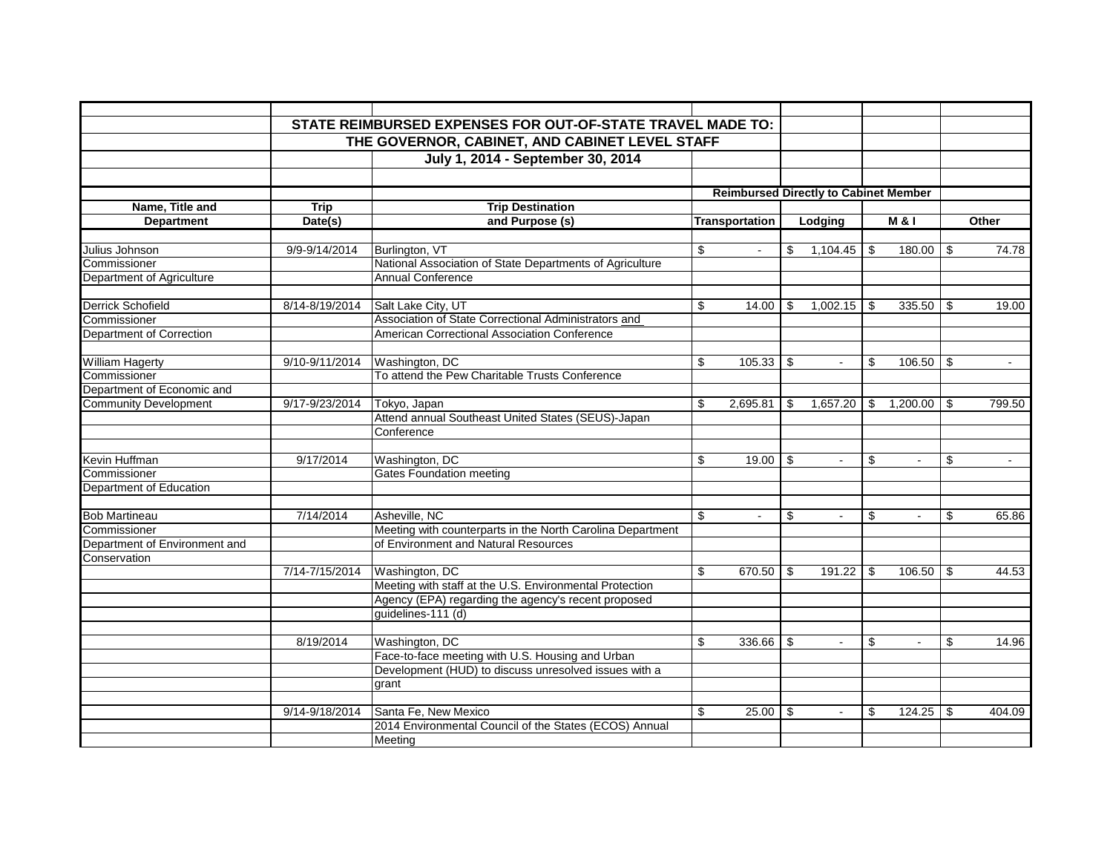|                                 |                                                | STATE REIMBURSED EXPENSES FOR OUT-OF-STATE TRAVEL MADE TO:                |    |                |     |                                              |     |          |          |        |
|---------------------------------|------------------------------------------------|---------------------------------------------------------------------------|----|----------------|-----|----------------------------------------------|-----|----------|----------|--------|
|                                 | THE GOVERNOR, CABINET, AND CABINET LEVEL STAFF |                                                                           |    |                |     |                                              |     |          |          |        |
|                                 |                                                | July 1, 2014 - September 30, 2014                                         |    |                |     |                                              |     |          |          |        |
|                                 |                                                |                                                                           |    |                |     |                                              |     |          |          |        |
|                                 |                                                |                                                                           |    |                |     |                                              |     |          |          |        |
| Name, Title and                 | <b>Trip</b>                                    | <b>Trip Destination</b>                                                   |    |                |     | <b>Reimbursed Directly to Cabinet Member</b> |     |          |          |        |
| <b>Department</b>               | Date(s)                                        | and Purpose (s)                                                           |    | Transportation |     | Lodging                                      |     | M & I    |          | Other  |
|                                 |                                                |                                                                           |    |                |     |                                              |     |          |          |        |
| Julius Johnson                  | 9/9-9/14/2014                                  | Burlington, VT                                                            | \$ | $\sim$         | \$  | 1,104.45                                     | -\$ | 180.00   | \$       | 74.78  |
| Commissioner                    |                                                | National Association of State Departments of Agriculture                  |    |                |     |                                              |     |          |          |        |
| Department of Agriculture       |                                                | <b>Annual Conference</b>                                                  |    |                |     |                                              |     |          |          |        |
|                                 |                                                |                                                                           |    |                |     |                                              |     |          |          |        |
| <b>Derrick Schofield</b>        | 8/14-8/19/2014                                 | Salt Lake City, UT                                                        | \$ | 14.00          | \$  | $1,002.15$ \$                                |     | 335.50   | \$       | 19.00  |
| Commissioner                    |                                                | Association of State Correctional Administrators and                      |    |                |     |                                              |     |          |          |        |
| <b>Department of Correction</b> |                                                | American Correctional Association Conference                              |    |                |     |                                              |     |          |          |        |
|                                 |                                                |                                                                           |    |                |     |                                              |     |          |          |        |
| <b>William Hagerty</b>          | 9/10-9/11/2014                                 | Washington, DC                                                            | \$ | 105.33         | -\$ | $\blacksquare$                               | \$  | 106.50   | - \$     | $\sim$ |
| Commissioner                    |                                                | To attend the Pew Charitable Trusts Conference                            |    |                |     |                                              |     |          |          |        |
| Department of Economic and      |                                                |                                                                           |    |                |     |                                              |     |          |          |        |
| <b>Community Development</b>    | 9/17-9/23/2014                                 | Tokyo, Japan                                                              | \$ | $2,695.81$ \$  |     | $1,657.20$ \ \$                              |     | 1,200.00 | l \$     | 799.50 |
|                                 |                                                | Attend annual Southeast United States (SEUS)-Japan                        |    |                |     |                                              |     |          |          |        |
|                                 |                                                | Conference                                                                |    |                |     |                                              |     |          |          |        |
|                                 |                                                |                                                                           |    |                |     |                                              |     |          |          |        |
| Kevin Huffman                   | 9/17/2014                                      | Washington, DC                                                            | \$ | 19.00          | -\$ | $\sim$                                       | \$  | $\sim$   | \$       | $\sim$ |
| Commissioner                    |                                                | <b>Gates Foundation meeting</b>                                           |    |                |     |                                              |     |          |          |        |
| Department of Education         |                                                |                                                                           |    |                |     |                                              |     |          |          |        |
|                                 |                                                |                                                                           |    |                |     |                                              |     |          |          |        |
| <b>Bob Martineau</b>            | 7/14/2014                                      | Asheville, NC                                                             | \$ | $\sim$         | \$  | $\sim$                                       | \$  | $\sim$   | \$       | 65.86  |
| Commissioner                    |                                                | Meeting with counterparts in the North Carolina Department                |    |                |     |                                              |     |          |          |        |
| Department of Environment and   |                                                | of Environment and Natural Resources                                      |    |                |     |                                              |     |          |          |        |
| Conservation                    | 7/14-7/15/2014                                 |                                                                           | \$ |                |     |                                              |     | 106.50   |          | 44.53  |
|                                 |                                                | Washington, DC<br>Meeting with staff at the U.S. Environmental Protection |    | 670.50         | \$  |                                              |     |          | \$       |        |
|                                 |                                                | Agency (EPA) regarding the agency's recent proposed                       |    |                |     |                                              |     |          |          |        |
|                                 |                                                | guidelines-111 (d)                                                        |    |                |     |                                              |     |          |          |        |
|                                 |                                                |                                                                           |    |                |     |                                              |     |          |          |        |
|                                 | 8/19/2014                                      | Washington, DC                                                            | \$ | 336.66         | \$  | $\blacksquare$                               | \$  | $\sim$   | \$       | 14.96  |
|                                 |                                                | Face-to-face meeting with U.S. Housing and Urban                          |    |                |     |                                              |     |          |          |        |
|                                 |                                                | Development (HUD) to discuss unresolved issues with a                     |    |                |     |                                              |     |          |          |        |
|                                 |                                                | grant                                                                     |    |                |     |                                              |     |          |          |        |
|                                 |                                                |                                                                           |    |                |     |                                              |     |          |          |        |
|                                 | 9/14-9/18/2014                                 | Santa Fe, New Mexico                                                      | \$ | 25.00          | \$  | $\sim$                                       | \$  | 124.25   | <b>S</b> | 404.09 |
|                                 |                                                | 2014 Environmental Council of the States (ECOS) Annual                    |    |                |     |                                              |     |          |          |        |
|                                 |                                                | Meeting                                                                   |    |                |     |                                              |     |          |          |        |
|                                 |                                                |                                                                           |    |                |     |                                              |     |          |          |        |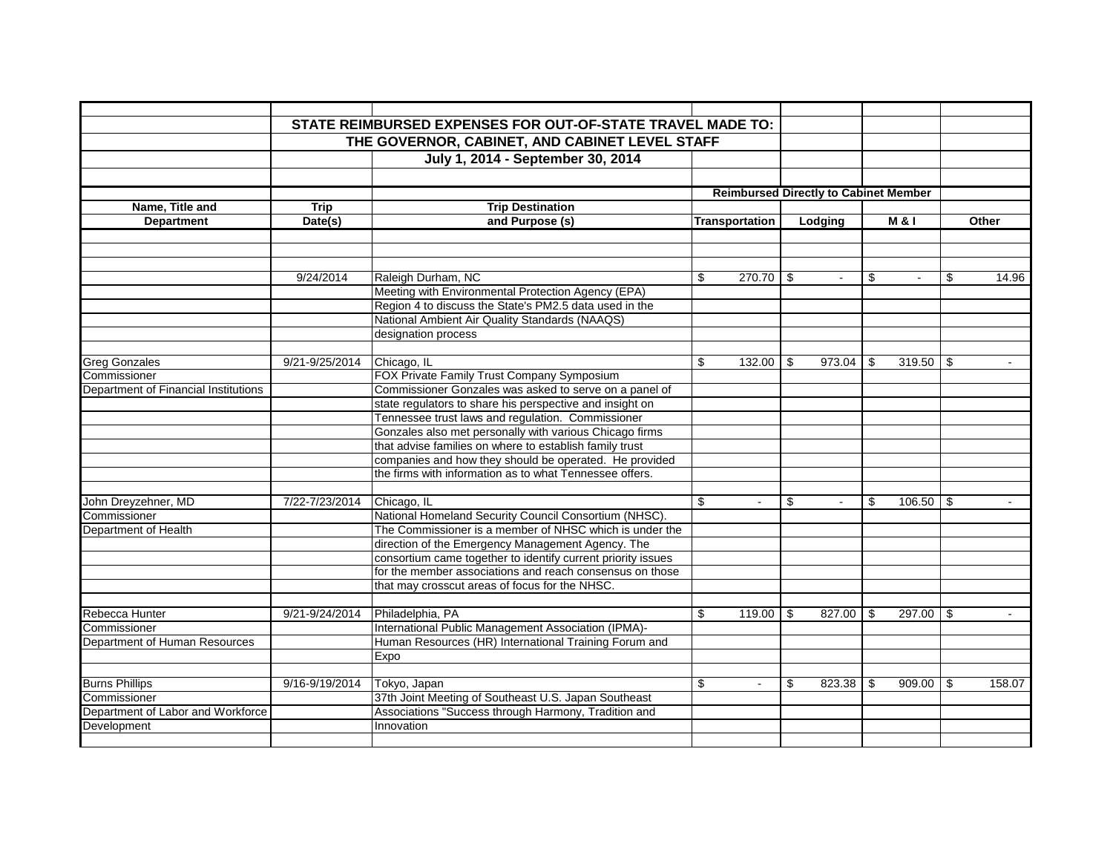|                                      |                | THE GOVERNOR, CABINET, AND CABINET LEVEL STAFF               |                |                                              |     |               |                     |             |
|--------------------------------------|----------------|--------------------------------------------------------------|----------------|----------------------------------------------|-----|---------------|---------------------|-------------|
|                                      |                | July 1, 2014 - September 30, 2014                            |                |                                              |     |               |                     |             |
|                                      |                |                                                              |                |                                              |     |               |                     |             |
|                                      |                |                                                              |                | <b>Reimbursed Directly to Cabinet Member</b> |     |               |                     |             |
| Name, Title and                      | <b>Trip</b>    | <b>Trip Destination</b>                                      |                |                                              |     |               |                     |             |
| <b>Department</b>                    | Date(s)        | and Purpose (s)                                              |                | <b>Transportation</b>                        |     | Lodging       | <b>M&amp;I</b>      | Other       |
|                                      |                |                                                              |                |                                              |     |               |                     |             |
|                                      |                |                                                              |                |                                              |     |               |                     |             |
|                                      | 9/24/2014      | Raleigh Durham, NC                                           | \$             |                                              |     | $\sim$        | \$<br>$\sim$        | \$<br>14.96 |
|                                      |                | Meeting with Environmental Protection Agency (EPA)           |                |                                              |     |               |                     |             |
|                                      |                | Region 4 to discuss the State's PM2.5 data used in the       |                |                                              |     |               |                     |             |
|                                      |                | National Ambient Air Quality Standards (NAAQS)               |                |                                              |     |               |                     |             |
|                                      |                | designation process                                          |                |                                              |     |               |                     |             |
|                                      |                |                                                              |                |                                              |     |               |                     |             |
| <b>Greg Gonzales</b>                 | 9/21-9/25/2014 | Chicago, IL                                                  | \$             | $132.00$ \ \$                                |     | $973.04$ \$   | $319.50$ \ \$       |             |
| Commissioner                         |                | FOX Private Family Trust Company Symposium                   |                |                                              |     |               |                     |             |
| Department of Financial Institutions |                | Commissioner Gonzales was asked to serve on a panel of       |                |                                              |     |               |                     |             |
|                                      |                | state regulators to share his perspective and insight on     |                |                                              |     |               |                     |             |
|                                      |                | Tennessee trust laws and regulation. Commissioner            |                |                                              |     |               |                     |             |
|                                      |                | Gonzales also met personally with various Chicago firms      |                |                                              |     |               |                     |             |
|                                      |                | that advise families on where to establish family trust      |                |                                              |     |               |                     |             |
|                                      |                | companies and how they should be operated. He provided       |                |                                              |     |               |                     |             |
|                                      |                | the firms with information as to what Tennessee offers.      |                |                                              |     |               |                     |             |
|                                      |                |                                                              |                |                                              |     |               |                     |             |
| John Dreyzehner, MD                  | 7/22-7/23/2014 | Chicago, IL                                                  | \$             | $\sim$                                       | \$  |               | \$<br>$106.50$ \ \$ |             |
| Commissioner                         |                | National Homeland Security Council Consortium (NHSC).        |                |                                              |     |               |                     |             |
| Department of Health                 |                | The Commissioner is a member of NHSC which is under the      |                |                                              |     |               |                     |             |
|                                      |                | direction of the Emergency Management Agency. The            |                |                                              |     |               |                     |             |
|                                      |                | consortium came together to identify current priority issues |                |                                              |     |               |                     |             |
|                                      |                | for the member associations and reach consensus on those     |                |                                              |     |               |                     |             |
|                                      |                | that may crosscut areas of focus for the NHSC.               |                |                                              |     |               |                     |             |
|                                      |                |                                                              |                |                                              |     |               |                     |             |
| Rebecca Hunter                       | 9/21-9/24/2014 | Philadelphia, PA                                             | $\mathfrak{L}$ | $119.00$ \ \$                                |     | $827.00$ \ \$ | $297.00$ \ \$       | $\sim$      |
| Commissioner                         |                | International Public Management Association (IPMA)-          |                |                                              |     |               |                     |             |
| Department of Human Resources        |                | Human Resources (HR) International Training Forum and        |                |                                              |     |               |                     |             |
|                                      |                | Expo                                                         |                |                                              |     |               |                     |             |
|                                      |                |                                                              |                |                                              |     |               |                     |             |
| <b>Burns Phillips</b>                | 9/16-9/19/2014 | Tokyo, Japan                                                 | \$             | $\sim$                                       | -\$ |               | $909.00$ \$         | 158.07      |
| Commissioner                         |                | 37th Joint Meeting of Southeast U.S. Japan Southeast         |                |                                              |     |               |                     |             |
| Department of Labor and Workforce    |                | Associations "Success through Harmony, Tradition and         |                |                                              |     |               |                     |             |
| Development                          |                | Innovation                                                   |                |                                              |     |               |                     |             |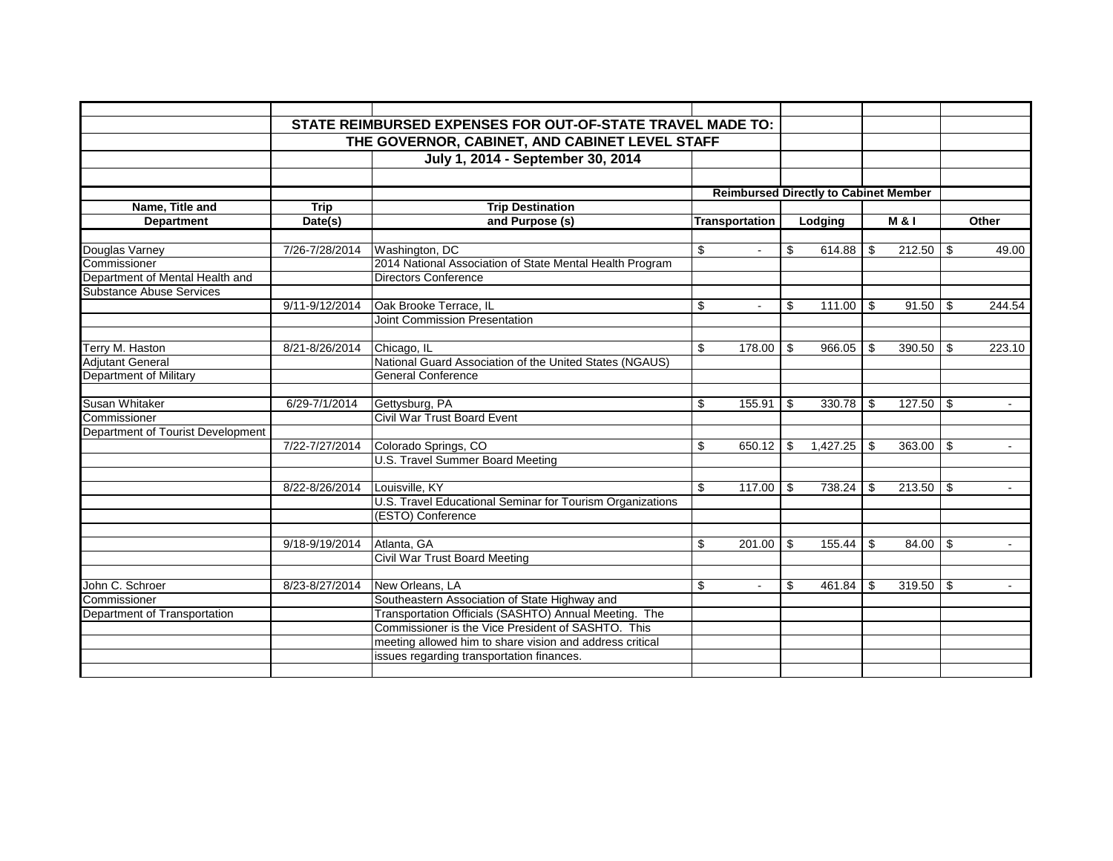|                                                             |                                                | STATE REIMBURSED EXPENSES FOR OUT-OF-STATE TRAVEL MADE TO: |    |                       |     |                                              |      |                  |     |                |
|-------------------------------------------------------------|------------------------------------------------|------------------------------------------------------------|----|-----------------------|-----|----------------------------------------------|------|------------------|-----|----------------|
|                                                             | THE GOVERNOR, CABINET, AND CABINET LEVEL STAFF |                                                            |    |                       |     |                                              |      |                  |     |                |
|                                                             |                                                | July 1, 2014 - September 30, 2014                          |    |                       |     |                                              |      |                  |     |                |
|                                                             |                                                |                                                            |    |                       |     |                                              |      |                  |     |                |
|                                                             |                                                |                                                            |    |                       |     |                                              |      |                  |     |                |
|                                                             |                                                |                                                            |    |                       |     | <b>Reimbursed Directly to Cabinet Member</b> |      |                  |     |                |
| Name, Title and                                             | <b>Trip</b>                                    | <b>Trip Destination</b>                                    |    |                       |     |                                              |      |                  |     |                |
| <b>Department</b>                                           | Date(s)                                        | and Purpose (s)                                            |    | <b>Transportation</b> |     | Lodging                                      |      | <b>M &amp; I</b> |     | Other          |
|                                                             |                                                |                                                            |    |                       |     |                                              |      |                  |     |                |
| Douglas Varney                                              | 7/26-7/28/2014                                 | Washington, DC                                             | \$ |                       | \$  |                                              |      | $212.50$ \$      |     | 49.00          |
| Commissioner                                                |                                                | 2014 National Association of State Mental Health Program   |    |                       |     |                                              |      |                  |     |                |
| Department of Mental Health and<br>Substance Abuse Services |                                                | <b>Directors Conference</b>                                |    |                       |     |                                              |      |                  |     |                |
|                                                             |                                                |                                                            |    |                       |     |                                              |      |                  |     |                |
|                                                             | 9/11-9/12/2014                                 | Oak Brooke Terrace, IL                                     | \$ | $\sim$                | \$  | 111.00                                       | l \$ | 91.50            | \$  | 244.54         |
|                                                             |                                                | Joint Commission Presentation                              |    |                       |     |                                              |      |                  |     |                |
|                                                             |                                                |                                                            |    |                       |     |                                              |      |                  |     |                |
| Terry M. Haston<br>Adjutant General                         | 8/21-8/26/2014                                 | Chicago, IL                                                | \$ | 178.00                | \$  | 966.05                                       | -\$  | 390.50           | \$  | 223.10         |
|                                                             |                                                | National Guard Association of the United States (NGAUS)    |    |                       |     |                                              |      |                  |     |                |
| Department of Military                                      |                                                | <b>General Conference</b>                                  |    |                       |     |                                              |      |                  |     |                |
|                                                             |                                                |                                                            |    |                       |     |                                              |      |                  |     |                |
| Susan Whitaker                                              | 6/29-7/1/2014                                  | Gettysburg, PA                                             | \$ | 155.91                | \$  |                                              |      | $127.50$ \$      |     | $\sim$         |
| Commissioner                                                |                                                | Civil War Trust Board Event                                |    |                       |     |                                              |      |                  |     |                |
| Department of Tourist Development                           |                                                |                                                            |    |                       |     |                                              |      |                  |     |                |
|                                                             | 7/22-7/27/2014                                 | Colorado Springs, CO                                       | \$ | 650.12                | \$  | 1,427.25                                     | \$   | 363.00           | \$  |                |
|                                                             |                                                | U.S. Travel Summer Board Meeting                           |    |                       |     |                                              |      |                  |     |                |
|                                                             |                                                |                                                            |    |                       |     |                                              |      |                  |     |                |
|                                                             | 8/22-8/26/2014                                 | Louisville, KY                                             | \$ | 117.00                | -\$ | 738.24                                       | -\$  | 213.50           | -\$ | $\sim$         |
|                                                             |                                                | U.S. Travel Educational Seminar for Tourism Organizations  |    |                       |     |                                              |      |                  |     |                |
|                                                             |                                                | (ESTO) Conference                                          |    |                       |     |                                              |      |                  |     |                |
|                                                             |                                                |                                                            |    |                       |     |                                              |      |                  |     |                |
|                                                             | 9/18-9/19/2014                                 | Atlanta, GA                                                | \$ | 201.00                | \$  | 155.44                                       | \$   | $84.00$ \ \$     |     | $\blacksquare$ |
|                                                             |                                                | <b>Civil War Trust Board Meeting</b>                       |    |                       |     |                                              |      |                  |     |                |
|                                                             |                                                |                                                            |    |                       |     |                                              |      |                  |     |                |
| John C. Schroer                                             | 8/23-8/27/2014                                 | New Orleans, LA                                            | \$ |                       | \$  | 461.84                                       | \$   | 319.50           | -\$ |                |
| Commissioner                                                |                                                | Southeastern Association of State Highway and              |    |                       |     |                                              |      |                  |     |                |
| Department of Transportation                                |                                                | Transportation Officials (SASHTO) Annual Meeting. The      |    |                       |     |                                              |      |                  |     |                |
|                                                             |                                                | Commissioner is the Vice President of SASHTO. This         |    |                       |     |                                              |      |                  |     |                |
|                                                             |                                                | meeting allowed him to share vision and address critical   |    |                       |     |                                              |      |                  |     |                |
|                                                             |                                                | issues regarding transportation finances.                  |    |                       |     |                                              |      |                  |     |                |
|                                                             |                                                |                                                            |    |                       |     |                                              |      |                  |     |                |